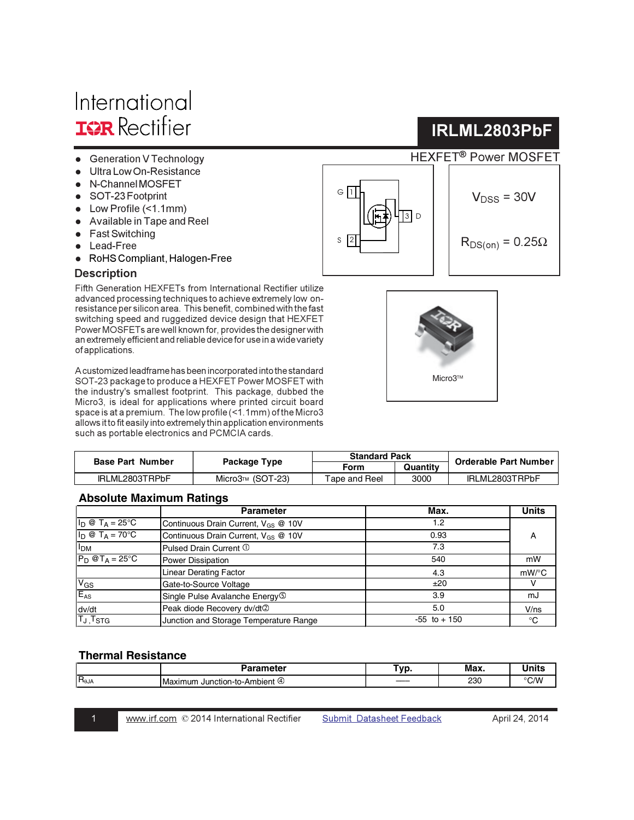# International **IGR** Rectifier

- Generation V Technology
- Ultra Low On-Resistance
- N-Channel MOSFET
- SOT-23 Footprint
- $\bullet$  Low Profile (<1.1mm)
- Available in Tape and Reel
- Fast Switching
- Lead-Free
- RoHS Compliant, Halogen-Free

### **Description**

Fifth Generation HEXFETs from International Rectifier utilize advanced processing techniques to achieve extremely low onresistance per silicon area. This benefit, combined with the fast switching speed and ruggedized device design that HEXFET Power MOSFETs are well known for, provides the designer with an extremely efficient and reliable device for use in a wide variety of applications.

A customized leadframe has been incorporated into the standard SOT-23 package to produce a HEXFET Power MOSFET with the industry's smallest footprint. This package, dubbed the Micro3, is ideal for applications where printed circuit board space is at a premium. The low profile (<1.1mm) of the Micro3 allows it to fit easily into extremely thin application environments such as portable electronics and PCMCIA cards.

| <b>Base Part Number</b> |                  | <b>Standard Pack</b> |          |                              |
|-------------------------|------------------|----------------------|----------|------------------------------|
|                         | Package Type     | Form                 | Quantity | <b>Orderable Part Number</b> |
| IRLML2803TRPbF          | Micro3™ (SOT-23) | 「ape and Reel」       | 3000     | IRLML2803TRPbF               |

## **Absolute Maximum Ratings**

|                                   | <b>Parameter</b>                                | Max.            | <b>Units</b> |
|-----------------------------------|-------------------------------------------------|-----------------|--------------|
| $I_D \otimes T_A = 25$ °C         | Continuous Drain Current, $V_{GS}$ @ 10V        | 1.2             |              |
| $I_D @ T_A = 70^\circ C$          | Continuous Drain Current, V <sub>GS</sub> @ 10V | 0.93            | A            |
| <b>I<sub>DM</sub></b>             | Pulsed Drain Current 1                          | 7.3             |              |
| $P_D$ @T <sub>A</sub> = 25°C      | Power Dissipation                               | 540             | mW           |
|                                   | Linear Derating Factor                          | 4.3             | $mW$ /°C     |
| $V_{GS}$                          | Gate-to-Source Voltage                          | ±20             |              |
| $E_{AS}$                          | Single Pulse Avalanche Energy <sup>(5)</sup>    | 3.9             | mJ           |
| dv/dt                             | Peak diode Recovery dv/dt2                      | 5.0             | V/ns         |
| T <sub>J</sub> , T <sub>STG</sub> | Junction and Storage Temperature Range          | $-55$ to $+150$ | °C           |

### **Thermal Resistance**

|                 | ----<br>meter                    | Tun<br>~ | Max. |     |
|-----------------|----------------------------------|----------|------|-----|
| $R_{\theta JA}$ | num<br>Junction-to-Aml<br>ıbıent | ____     | 230  | ۰Λ۸ |
|                 |                                  |          |      |     |





IRLML2803PbF

 $V_{DSS}$  = 30V

 $R_{DS(on)} = 0.25\Omega$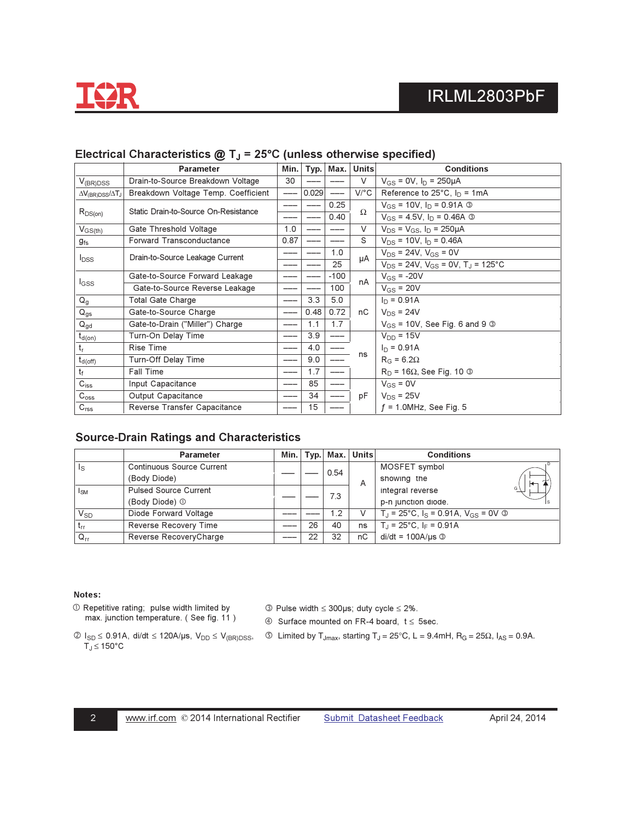

|                                          | <b>Parameter</b>                     | Min. |       | $Typ.$ Max. | Units   | <b>Conditions</b>                                     |
|------------------------------------------|--------------------------------------|------|-------|-------------|---------|-------------------------------------------------------|
| $V_{(BR)DSS}$                            | Drain-to-Source Breakdown Voltage    | 30   |       |             | V       | $V_{GS} = 0V$ , $I_D = 250 \mu A$                     |
| $\Delta V_{\rm(BR)DSS}/\Delta T_{\rm J}$ | Breakdown Voltage Temp. Coefficient  |      | 0.029 | ---         | $V$ /°C | Reference to $25^{\circ}$ C, $I_D = 1 \text{mA}$      |
|                                          | Static Drain-to-Source On-Resistance |      |       | 0.25        |         | $V_{GS}$ = 10V, $I_D$ = 0.91A ③                       |
| $R_{DS(on)}$                             |                                      |      |       | 0.40        | Ω       | $V_{GS}$ = 4.5V, $I_D$ = 0.46A $\circled{3}$          |
| $V_{GS(th)}$                             | Gate Threshold Voltage               | 1.0  |       |             | V       | $V_{DS} = V_{GS}$ , $I_D = 250 \mu A$                 |
| $g_{\rm fs}$                             | <b>Forward Transconductance</b>      | 0.87 |       |             | S       | $V_{DS}$ = 10V, $I_D$ = 0.46A                         |
| $I_{DSS}$                                | Drain-to-Source Leakage Current      |      |       | 1.0         | μA      | $V_{DS}$ = 24V, $V_{GS}$ = 0V                         |
|                                          |                                      |      |       | 25          |         | $V_{DS}$ = 24V, $V_{GS}$ = 0V, T <sub>J</sub> = 125°C |
|                                          | Gate-to-Source Forward Leakage       |      |       | $-100$      | nA      | $V_{GS}$ = -20V                                       |
| <b>I</b> GSS                             | Gate-to-Source Reverse Leakage       |      |       | 100         |         | $V_{GS}$ = 20V                                        |
| $Q_g$                                    | <b>Total Gate Charge</b>             |      | 3.3   | 5.0         |         | $I_D = 0.91A$                                         |
| $Q_{gs}$                                 | Gate-to-Source Charge                |      | 0.48  | 0.72        | nC      | $V_{DS}$ = 24V                                        |
| $Q_{gd}$                                 | Gate-to-Drain ("Miller") Charge      |      | 1.1   | 1.7         |         | $V_{GS}$ = 10V, See Fig. 6 and 9 $\circledcirc$       |
| $t_{d(on)}$                              | Turn-On Delay Time                   |      | 3.9   | ---         |         | $V_{DD} = 15V$                                        |
| $t_{r}$                                  | <b>Rise Time</b>                     |      | 4.0   |             |         | $I_D = 0.91A$                                         |
| $t_{d(off)}$                             | Turn-Off Delay Time                  |      | 9.0   |             | ns      | $R_G = 6.2\Omega$                                     |
| $t_{\rm f}$                              | <b>Fall Time</b>                     |      | 1.7   |             |         | $R_D$ = 16 $\Omega$ , See Fig. 10 $\odot$             |
| $C_{iss}$                                | Input Capacitance                    |      | 85    |             |         | $V_{GS} = 0V$                                         |
| $C_{\rm oss}$                            | Output Capacitance                   |      | 34    |             | рF      | $V_{DS}$ = 25V                                        |
| C <sub>rss</sub>                         | Reverse Transfer Capacitance         |      | 15    |             |         | $f = 1.0$ MHz, See Fig. 5                             |

## Electrical Characteristics  $@T_J = 25°C$  (unless otherwise specified)

### **Source-Drain Ratings and Characteristics**

|                       | <b>Parameter</b>             | Min. | Typ. | Max. | <b>Units</b> | <b>Conditions</b>                                            |
|-----------------------|------------------------------|------|------|------|--------------|--------------------------------------------------------------|
| Is                    | Continuous Source Current    |      |      | 0.54 |              | MOSFET symbol                                                |
|                       | (Body Diode)                 |      |      |      | A            | showing the                                                  |
| <sub>sM</sub>         | <b>Pulsed Source Current</b> |      |      | 7.3  |              | G \<br>integral reverse                                      |
|                       | (Body Diode) 1               |      |      |      |              | p-n junction diode.                                          |
| <b>V<sub>SD</sub></b> | Diode Forward Voltage        |      |      | 1.2  | V            | $T_{\rm J}$ = 25°C, $I_{\rm S}$ = 0.91A, $V_{\rm GS}$ = 0V © |
| $t_{rr}$              | Reverse Recovery Time        |      | 26   | 40   | ns           | $T_J = 25^{\circ}C$ , I <sub>F</sub> = 0.91A                 |
| $Q_{rr}$              | Reverse RecoveryCharge       |      | 22   | 32   | пC           | $di/dt = 100A/\mu s$ 3                                       |

### Notes:

1 Repetitive rating; pulse width limited by max. junction temperature. (See fig. 11)  $\circled{ }$  Pulse width  $\leq$  300µs; duty cycle  $\leq$  2%.

 $\circled{4}$  Surface mounted on FR-4 board,  $t \le 5$ sec.

- $T_J \leq 150^{\circ}$ C
- $\textcircled{1}_{SD} \leq 0.91A, \text{ di/dt } \leq 120A/\mu s, \text{ } V_{DD} \leq V_{(BR)DSS}, \quad \textcircled{3-Limited by } T_{Jmax}, \text{ starting } T_J = 25^{\circ}C, \text{ } L = 9.4 \text{mH}, \text{ } R_G = 25 \Omega, \text{ } I_{AS} = 0.9A.$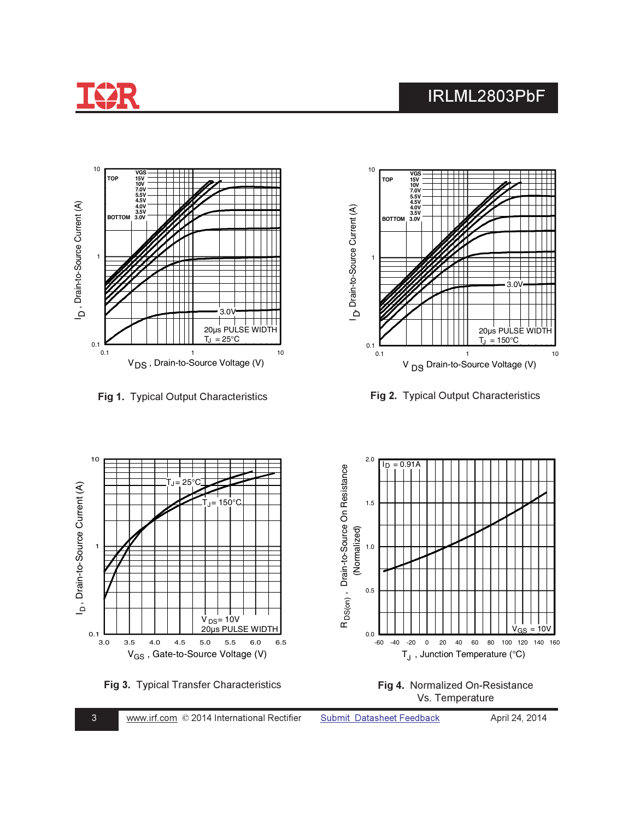







ig 2. Typical Output Characteristics



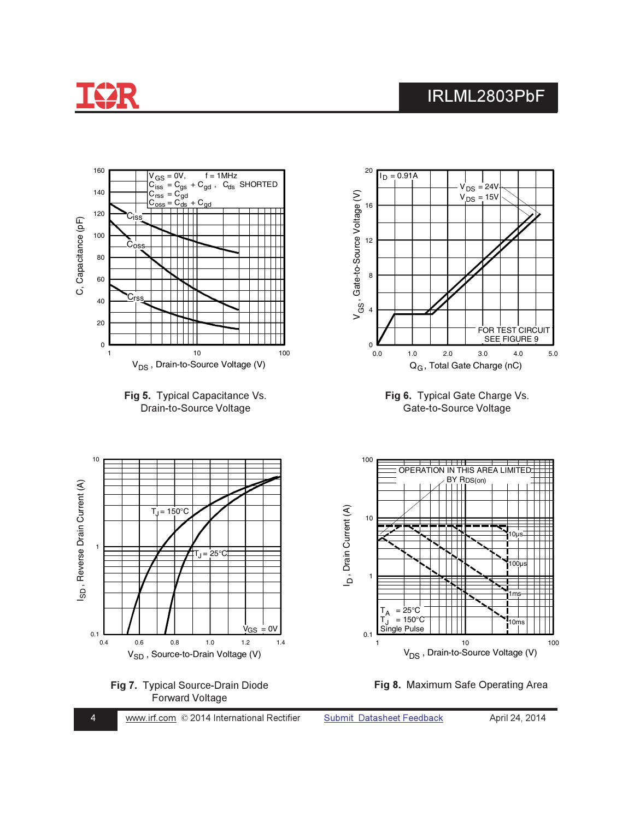

 $\overline{4}$ 

## IRLML2803PbF

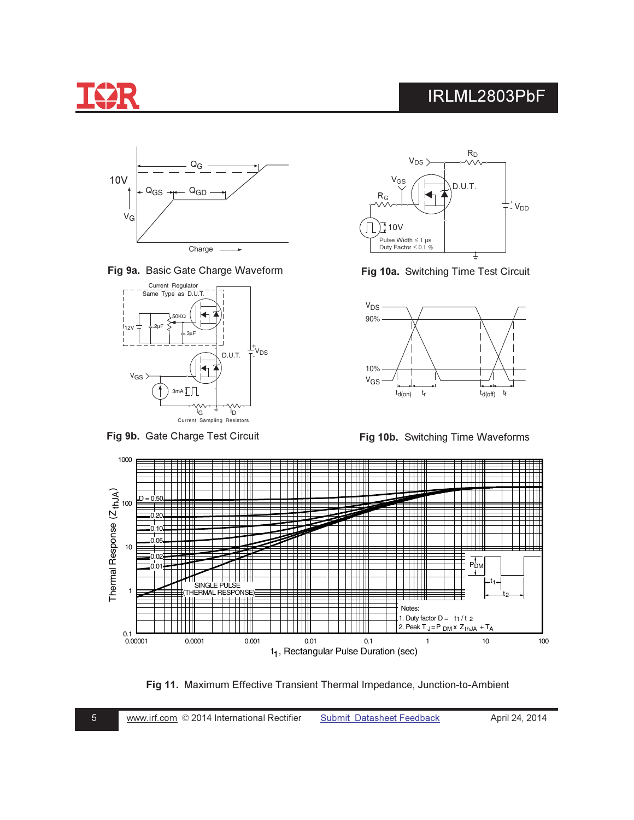

Fig 9a. Basic Gate Charge Waveform



Fig 9b. Gate Charge Test Circuit



Fig 10a. Switching Time Test Circuit



Fig 10b. Switching Time Waveforms



Fig 11. Maximum Effective Transient Thermal Impedance, Junction-to-Ambient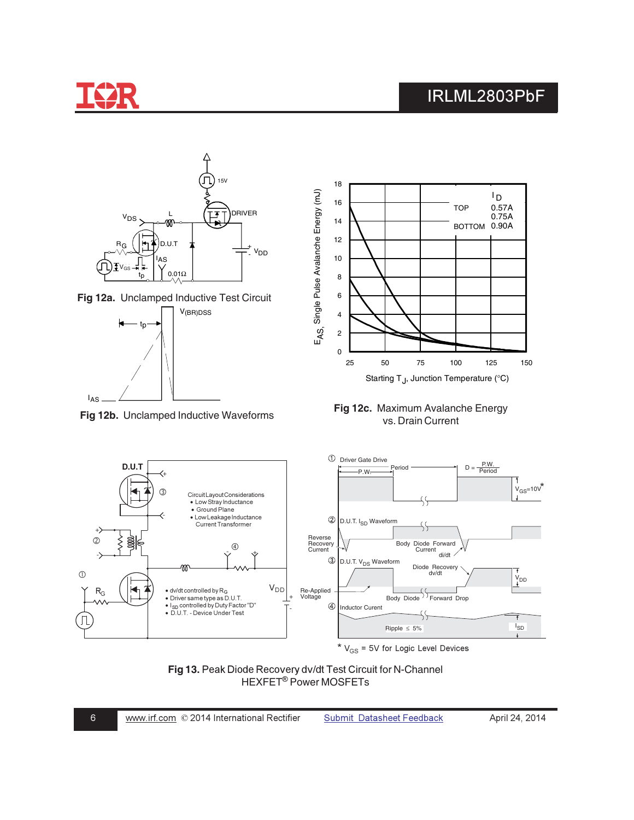

 $\sqrt{6}$ 

## IRLML2803PbF



Fig 13. Peak Diode Recovery dv/dt Test Circuit for N-Channel<br>HEXFET® Power MOSFETs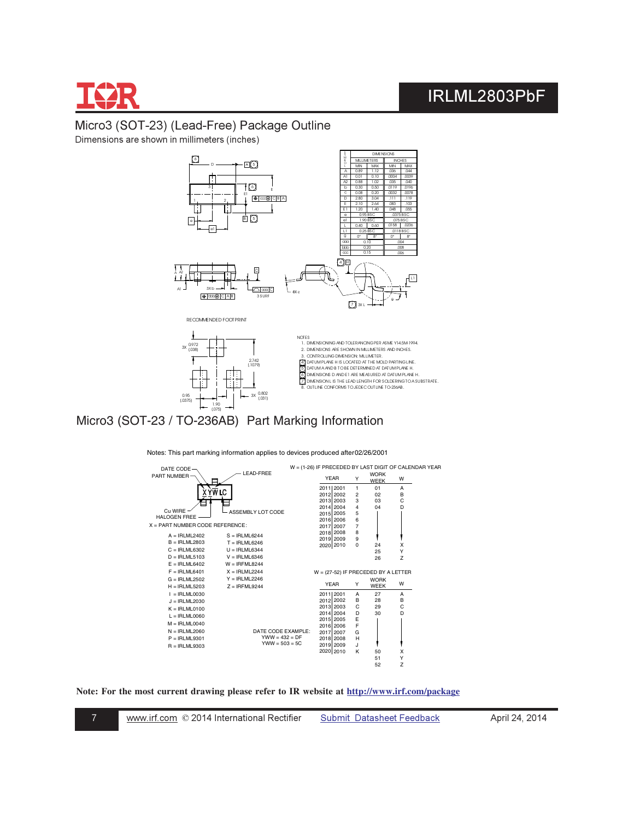

## Micro3 (SOT-23) (Lead-Free) Package Outline Dimensions are shown in millimeters (inches)



8. OUTLINE CONFORMS TO JEDEC OUTLINE TO-236AB.

Micro3 (SOT-23 / TO-236AB) Part Marking Information 1.90 [.075]

0.95 [.0375]

Notes: This part marking information applies to devices produced after 02/26/2001

3X 0.802<br>(031)



**Note: For the most current drawing please refer to IR website at http://www.irf.com/package**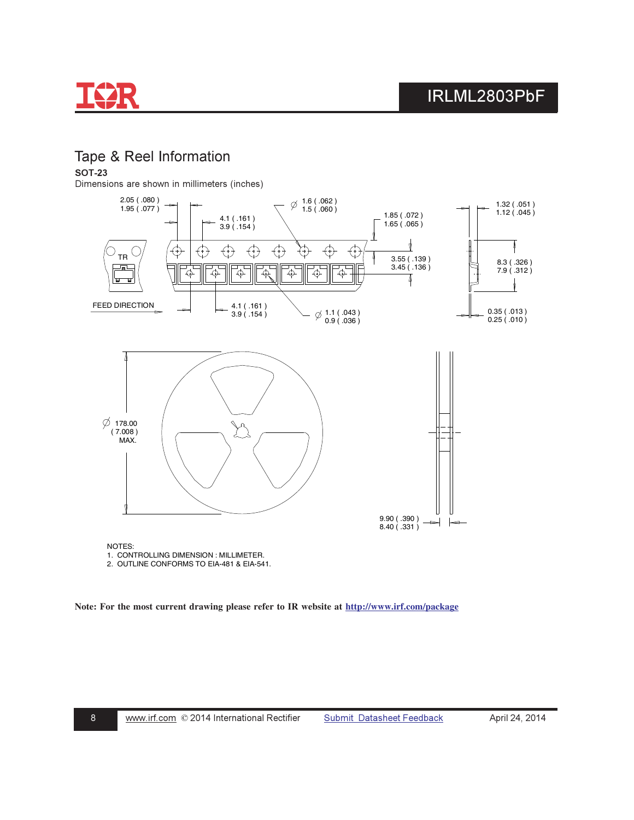

## Tape & Reel Information

**SOT-23** 

Dimensions are shown in millimeters (inches)



1. CONTROLLING DIMENSION : MILLIMETER.

2. OUTLINE CONFORMS TO EIA-481 & EIA-541.

**Note: For the most current drawing please refer to IR website at http://www.irf.com/package**